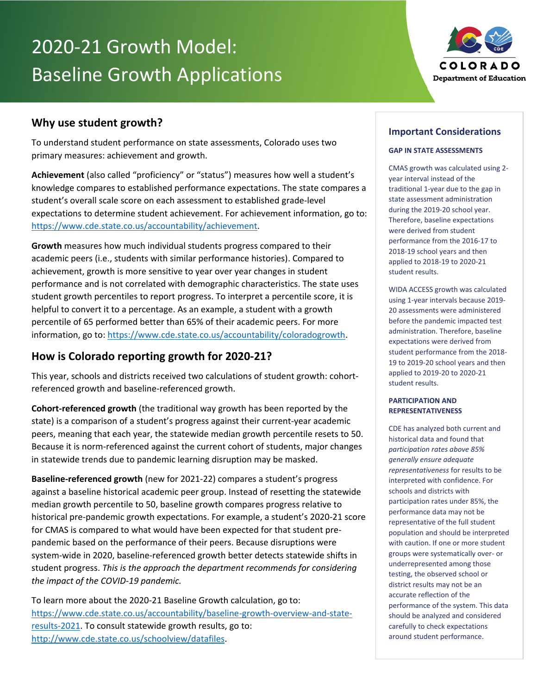# 2020-21 Growth Model: Baseline Growth Applications



## **Why use student growth?**

To understand student performance on state assessments, Colorado uses two primary measures: achievement and growth.

**Achievement** (also called "proficiency" or "status") measures how well a student's knowledge compares to established performance expectations. The state compares a student's overall scale score on each assessment to established grade-level expectations to determine student achievement. For achievement information, go to: [https://www.cde.state.co.us/accountability/achievement.](https://www.cde.state.co.us/accountability/achievement)

**Growth** measures how much individual students progress compared to their academic peers (i.e., students with similar performance histories). Compared to achievement, growth is more sensitive to year over year changes in student performance and is not correlated with demographic characteristics. The state uses student growth percentiles to report progress. To interpret a percentile score, it is helpful to convert it to a percentage. As an example, a student with a growth percentile of 65 performed better than 65% of their academic peers. For more information, go to[: https://www.cde.state.co.us/accountability/coloradogrowth.](https://www.cde.state.co.us/accountability/coloradogrowth)

## **How is Colorado reporting growth for 2020-21?**

This year, schools and districts received two calculations of student growth: cohortreferenced growth and baseline-referenced growth.

**Cohort-referenced growth** (the traditional way growth has been reported by the state) is a comparison of a student's progress against their current-year academic peers, meaning that each year, the statewide median growth percentile resets to 50. Because it is norm-referenced against the current cohort of students, major changes in statewide trends due to pandemic learning disruption may be masked.

**Baseline-referenced growth** (new for 2021-22) compares a student's progress against a baseline historical academic peer group. Instead of resetting the statewide median growth percentile to 50, baseline growth compares progress relative to historical pre-pandemic growth expectations. For example, a student's 2020-21 score for CMAS is compared to what would have been expected for that student prepandemic based on the performance of their peers. Because disruptions were system-wide in 2020, baseline-referenced growth better detects statewide shifts in student progress. *This is the approach the department recommends for considering the impact of the COVID-19 pandemic.*

To learn more about the 2020-21 Baseline Growth calculation, go to: [https://www.cde.state.co.us/accountability/baseline-growth-overview-and-state](https://www.cde.state.co.us/accountability/baseline-growth-overview-and-state-results-2021)[results-2021.](https://www.cde.state.co.us/accountability/baseline-growth-overview-and-state-results-2021) To consult statewide growth results, go to: [http://www.cde.state.co.us/schoolview/datafiles.](http://www.cde.state.co.us/schoolview/datafiles)

### **Important Considerations**

#### **GAP IN STATE ASSESSMENTS**

CMAS growth was calculated using 2 year interval instead of the traditional 1-year due to the gap in state assessment administration during the 2019-20 school year. Therefore, baseline expectations were derived from student performance from the 2016-17 to 2018-19 school years and then applied to 2018-19 to 2020-21 student results.

WIDA ACCESS growth was calculated using 1-year intervals because 2019- 20 assessments were administered before the pandemic impacted test administration. Therefore, baseline expectations were derived from student performance from the 2018- 19 to 2019-20 school years and then applied to 2019-20 to 2020-21 student results.

#### **PARTICIPATION AND REPRESENTATIVENESS**

CDE has analyzed both current and historical data and found that *participation rates above 85% generally ensure adequate representativeness* for results to be interpreted with confidence. For schools and districts with participation rates under 85%, the performance data may not be representative of the full student population and should be interpreted with caution. If one or more student groups were systematically over- or underrepresented among those testing, the observed school or district results may not be an accurate reflection of the performance of the system. This data should be analyzed and considered carefully to check expectations around student performance.